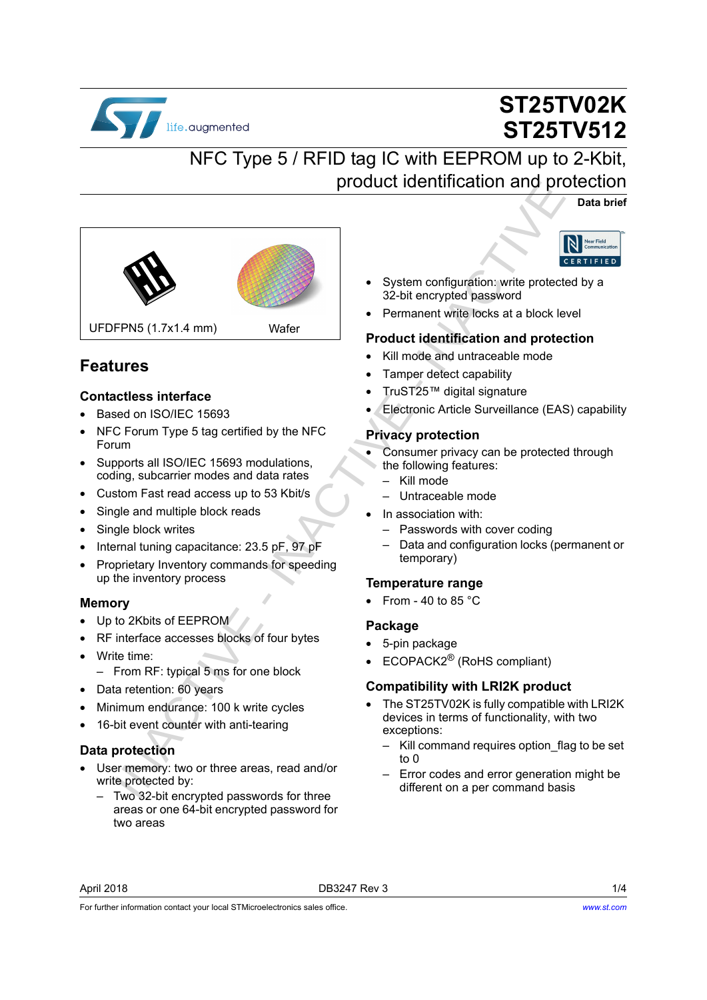

# **ST25TV02K ST25TV512**

## NFC Type 5 / RFID tag IC with EEPROM up to 2-Kbit, product identification and protection

**Data brief**



### <span id="page-0-0"></span>**Features**

#### **Contactless interface**

- Based on ISO/IEC 15693
- NFC Forum Type 5 tag certified by the NFC Forum
- Supports all ISO/IEC 15693 modulations. coding, subcarrier modes and data rates
- Custom Fast read access up to 53 Kbit/s
- Single and multiple block reads
- Single block writes
- Internal tuning capacitance: 23.5 pF, 97 pF
- Proprietary Inventory commands for speeding up the inventory process

#### **Memory**

- Up to 2Kbits of EEPROM
- RF interface accesses blocks of four bytes
- Write time:
	- From RF: typical 5 ms for one block
- Data retention: 60 years
- Minimum endurance: 100 k write cycles
- 16-bit event counter with anti-tearing

#### **Data protection**

- User memory: two or three areas, read and/or write protected by:
	- Two 32-bit encrypted passwords for three areas or one 64-bit encrypted password for two areas



- System configuration: write protected by a 32-bit encrypted password
- Permanent write locks at a block level

#### **Product identification and protection**

- Kill mode and untraceable mode
- Tamper detect capability
- TruST25™ digital signature
- Electronic Article Surveillance (EAS) capability

#### **Privacy protection**

- Consumer privacy can be protected through the following features:
	- Kill mode
	- Untraceable mode
- In association with:
	- Passwords with cover coding
	- Data and configuration locks (permanent or temporary)

#### **Temperature range**

• From - 40 to 85  $^{\circ}$ C

#### **Package**

- 5-pin package
- ECOPACK2® (RoHS compliant)

#### **Compatibility with LRI2K product**

- The ST25TV02K is fully compatible with LRI2K devices in terms of functionality, with two exceptions:
	- Kill command requires option flag to be set to 0
	- Error codes and error generation might be different on a per command basis

For further information contact your local STMicroelectronics sales office.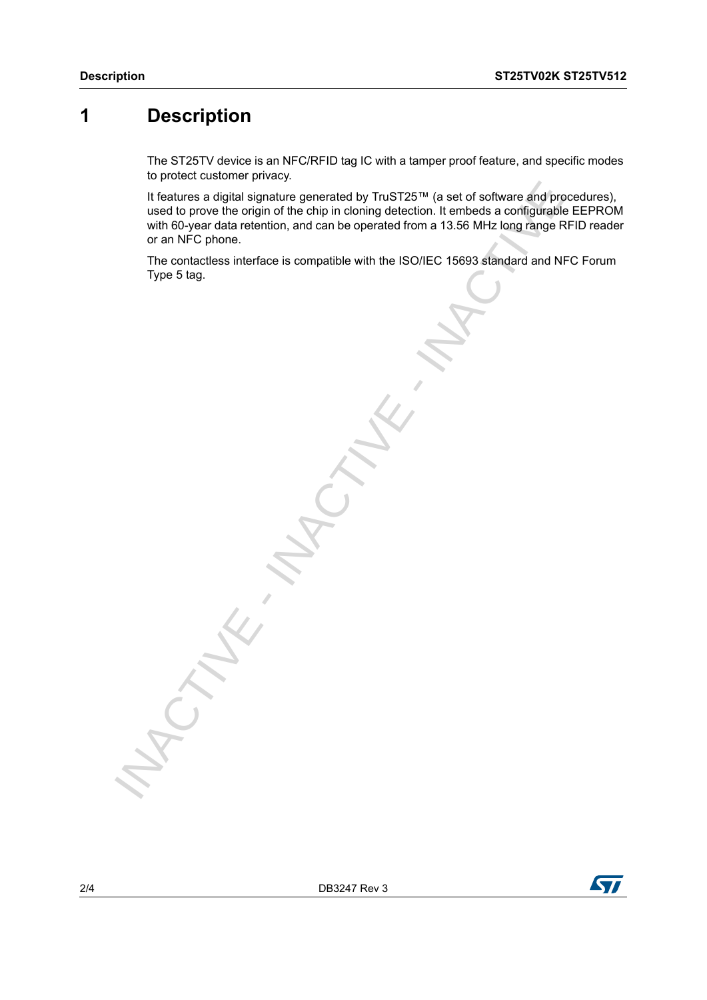### **1 Description**

<span id="page-1-0"></span>The ST25TV device is an NFC/RFID tag IC with a tamper proof feature, and specific modes to protect customer privacy.

It features a digital signature generated by TruST25™ (a set of software and procedures), used to prove the origin of the chip in cloning detection. It embeds a configurable EEPROM with 60-year data retention, and can be operated from a 13.56 MHz long range RFID reader or an NFC phone. It features a digital signature generated by TruST25™ (a set of software and provide its orbitation), and can be operated from it. embeds a configurably with 60 year data retention, and can be operated from a 13.55 MHz lon

The contactless interface is compatible with the ISO/IEC 15693 standard and NFC Forum

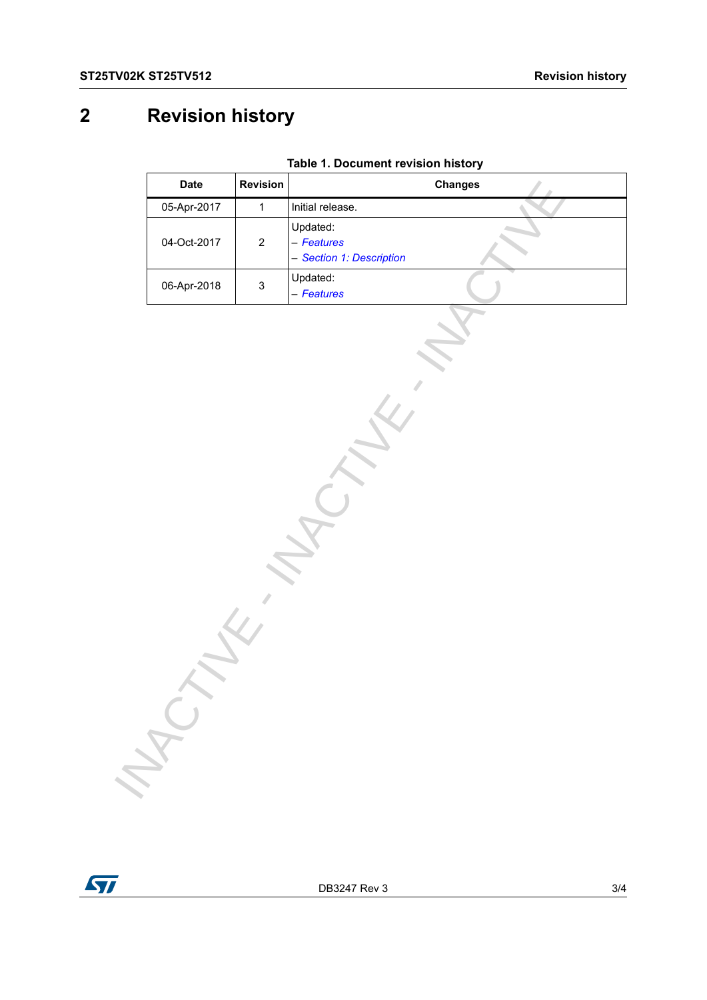## **2 Revision history**

| <b>Date</b> | Revision                  | <b>Changes</b>                                     |
|-------------|---------------------------|----------------------------------------------------|
| 05-Apr-2017 | $\mathbf{1}$              | Initial release.                                   |
| 04-Oct-2017 | $\sqrt{2}$                | Updated:<br>- Features<br>- Section 1: Description |
| 06-Apr-2018 | $\ensuremath{\mathsf{3}}$ | Updated:<br>- Features                             |
| MAC         |                           |                                                    |

**Table 1. Document revision history**